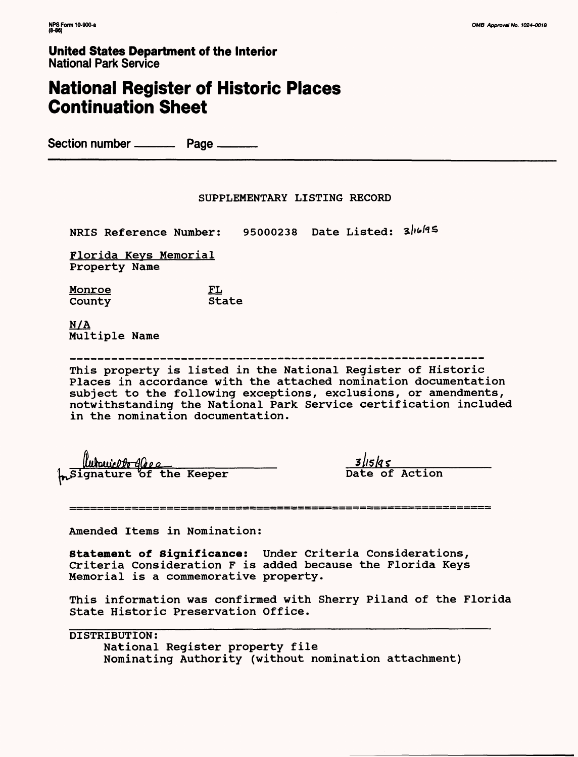# **National Register of Historic Places Continuation Sheet**

Section number ——— Page \_\_\_

### SUPPLEMENTARY LISTING RECORD

NRIS Reference Number: 95000238 Date Listed: 3/16/95

Florida Keys Memorial Property Name

<u>Monroe</u> FL<br>County State County

N/A Multiple Name

This property is listed in the National Register of Historic Places in accordance with the attached nomination documentation subject to the following exceptions, exclusions, or amendments, notwithstanding the National Park Service certification included in the nomination documentation.

lutouicl<del>ée</del> 40ee Signature of the Keeper Date of Action

 $3|15|q5$ 

-----------------▓▅▅▆▅▅▅▅▅▅▅▅▅▅▅▅▅▅▅▅▅▅▅

Amended Items in Nomination:

Statement of Significance: Under Criteria Considerations, Criteria Consideration F is added because the Florida Keys Memorial is a commemorative property.

This information was confirmed with Sherry Piland of the Florida State Historic Preservation Office.

DISTRIBUTION: National Register property file Nominating Authority (without nomination attachment)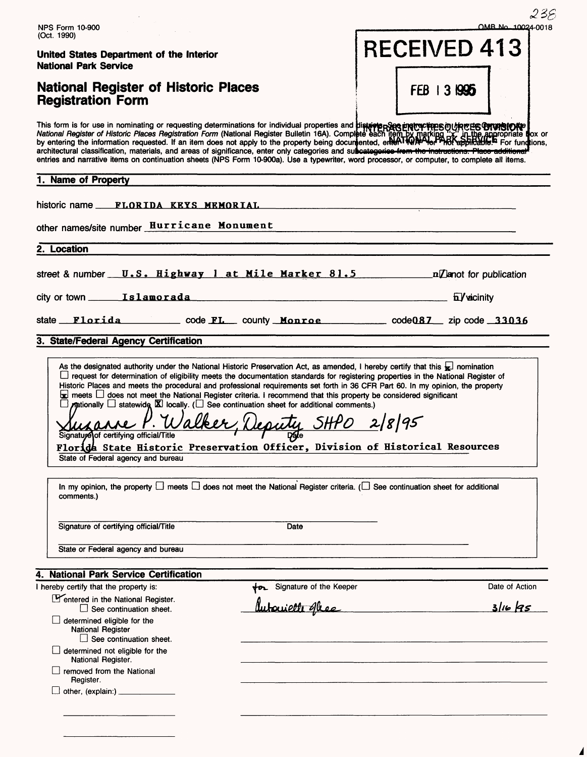|                                                                                                                                                                                                                                                                                                                                                                                                                                                                                                                                                                                                                                                                                                                                                                                                                                                                                                                                                                                   |                                                                                                                  | 238                                                                                                                                                                                                                                       |
|-----------------------------------------------------------------------------------------------------------------------------------------------------------------------------------------------------------------------------------------------------------------------------------------------------------------------------------------------------------------------------------------------------------------------------------------------------------------------------------------------------------------------------------------------------------------------------------------------------------------------------------------------------------------------------------------------------------------------------------------------------------------------------------------------------------------------------------------------------------------------------------------------------------------------------------------------------------------------------------|------------------------------------------------------------------------------------------------------------------|-------------------------------------------------------------------------------------------------------------------------------------------------------------------------------------------------------------------------------------------|
| <b>NPS Form 10-900</b><br>(Oct. 1990)                                                                                                                                                                                                                                                                                                                                                                                                                                                                                                                                                                                                                                                                                                                                                                                                                                                                                                                                             |                                                                                                                  | OMB No. 10024-0018                                                                                                                                                                                                                        |
| United States Department of the Interior<br><b>National Park Service</b>                                                                                                                                                                                                                                                                                                                                                                                                                                                                                                                                                                                                                                                                                                                                                                                                                                                                                                          |                                                                                                                  | <b>RECEIVED 413</b>                                                                                                                                                                                                                       |
| <b>National Register of Historic Places</b><br><b>Registration Form</b>                                                                                                                                                                                                                                                                                                                                                                                                                                                                                                                                                                                                                                                                                                                                                                                                                                                                                                           |                                                                                                                  | FEB 13 1995                                                                                                                                                                                                                               |
| architectural classification, materials, and areas of significance, enter only categories and subcategories from the instructions. Place a<br>entries and narrative items on continuation sheets (NPS Form 10-900a). Use a typewriter, word processor, or computer, to complete all items.                                                                                                                                                                                                                                                                                                                                                                                                                                                                                                                                                                                                                                                                                        |                                                                                                                  | This form is for use in nominating or requesting determinations for individual properties and <b>districte protectives</b> or the complete interval and the properties of the complete interval and the matrice of <i>Historic Places</i> |
| 1. Name of Property                                                                                                                                                                                                                                                                                                                                                                                                                                                                                                                                                                                                                                                                                                                                                                                                                                                                                                                                                               |                                                                                                                  |                                                                                                                                                                                                                                           |
|                                                                                                                                                                                                                                                                                                                                                                                                                                                                                                                                                                                                                                                                                                                                                                                                                                                                                                                                                                                   |                                                                                                                  |                                                                                                                                                                                                                                           |
| other names/site number <b>Hurricane</b> Monument                                                                                                                                                                                                                                                                                                                                                                                                                                                                                                                                                                                                                                                                                                                                                                                                                                                                                                                                 |                                                                                                                  |                                                                                                                                                                                                                                           |
|                                                                                                                                                                                                                                                                                                                                                                                                                                                                                                                                                                                                                                                                                                                                                                                                                                                                                                                                                                                   |                                                                                                                  |                                                                                                                                                                                                                                           |
| 2. Location                                                                                                                                                                                                                                                                                                                                                                                                                                                                                                                                                                                                                                                                                                                                                                                                                                                                                                                                                                       |                                                                                                                  |                                                                                                                                                                                                                                           |
| street & number $U.S.$ Highway 1 at Mile Marker 81.5 and name is a particular or publication                                                                                                                                                                                                                                                                                                                                                                                                                                                                                                                                                                                                                                                                                                                                                                                                                                                                                      |                                                                                                                  |                                                                                                                                                                                                                                           |
| city or town <b>Islamorada</b>                                                                                                                                                                                                                                                                                                                                                                                                                                                                                                                                                                                                                                                                                                                                                                                                                                                                                                                                                    | avvicinity and the set of the set of the set of the set of the set of the set of the set of the set of the set o |                                                                                                                                                                                                                                           |
|                                                                                                                                                                                                                                                                                                                                                                                                                                                                                                                                                                                                                                                                                                                                                                                                                                                                                                                                                                                   |                                                                                                                  | state Florida  code FL county Monroe  code 087 zip code 33036                                                                                                                                                                             |
| 3. State/Federal Agency Certification                                                                                                                                                                                                                                                                                                                                                                                                                                                                                                                                                                                                                                                                                                                                                                                                                                                                                                                                             |                                                                                                                  |                                                                                                                                                                                                                                           |
| As the designated authority under the National Historic Preservation Act, as amended, I hereby certify that this $\frac{1}{k}$ nomination<br>□ request for determination of eligibility meets the documentation standards for registering properties in the National Register of<br>Historic Places and meets the procedural and professional requirements set forth in 36 CFR Part 60. In my opinion, the property<br>$\Box$ meets $\Box$ does not meet the National Register criteria. I recommend that this property be considered significant<br>$\pi$ ationally $\Box$ statewide $\boxtimes$ locally. ( $\Box$ See continuation sheet for additional comments.)<br>ature of certifying official/Title<br>Florida State Historic Preservation Officer, Division of Historical Resources<br>State of Federal agency and bureau<br>In my opinion, the property $\Box$ meets $\Box$ does not meet the National Register criteria. ( $\Box$ See continuation sheet for additional | P. Walker, Deputy SHPO 2/8/95<br>しア                                                                              |                                                                                                                                                                                                                                           |
| comments.)                                                                                                                                                                                                                                                                                                                                                                                                                                                                                                                                                                                                                                                                                                                                                                                                                                                                                                                                                                        |                                                                                                                  |                                                                                                                                                                                                                                           |
| Signature of certifying official/Title                                                                                                                                                                                                                                                                                                                                                                                                                                                                                                                                                                                                                                                                                                                                                                                                                                                                                                                                            | Date                                                                                                             |                                                                                                                                                                                                                                           |
|                                                                                                                                                                                                                                                                                                                                                                                                                                                                                                                                                                                                                                                                                                                                                                                                                                                                                                                                                                                   |                                                                                                                  |                                                                                                                                                                                                                                           |
| State or Federal agency and bureau                                                                                                                                                                                                                                                                                                                                                                                                                                                                                                                                                                                                                                                                                                                                                                                                                                                                                                                                                |                                                                                                                  |                                                                                                                                                                                                                                           |
|                                                                                                                                                                                                                                                                                                                                                                                                                                                                                                                                                                                                                                                                                                                                                                                                                                                                                                                                                                                   |                                                                                                                  |                                                                                                                                                                                                                                           |
|                                                                                                                                                                                                                                                                                                                                                                                                                                                                                                                                                                                                                                                                                                                                                                                                                                                                                                                                                                                   | <b>for</b> Signature of the Keeper                                                                               | Date of Action                                                                                                                                                                                                                            |
| Pentered in the National Register.<br>$\Box$ See continuation sheet.                                                                                                                                                                                                                                                                                                                                                                                                                                                                                                                                                                                                                                                                                                                                                                                                                                                                                                              | <u>Autovietti gless</u>                                                                                          | $316$ $As$                                                                                                                                                                                                                                |
| determined eligible for the<br><b>National Register</b><br>$\Box$ See continuation sheet.                                                                                                                                                                                                                                                                                                                                                                                                                                                                                                                                                                                                                                                                                                                                                                                                                                                                                         |                                                                                                                  |                                                                                                                                                                                                                                           |
| $\Box$ determined not eligible for the<br>National Register.                                                                                                                                                                                                                                                                                                                                                                                                                                                                                                                                                                                                                                                                                                                                                                                                                                                                                                                      |                                                                                                                  |                                                                                                                                                                                                                                           |
| 4. National Park Service Certification<br>I hereby certify that the property is:<br>$\Box$ removed from the National<br>Register.                                                                                                                                                                                                                                                                                                                                                                                                                                                                                                                                                                                                                                                                                                                                                                                                                                                 |                                                                                                                  |                                                                                                                                                                                                                                           |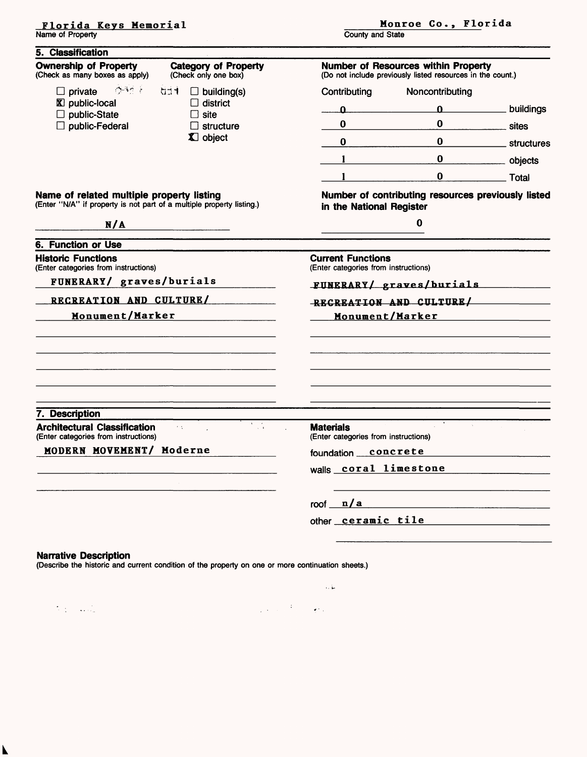**Florida Keys Memorial** Name of Property

County and State

| 5. Classification                                                                                                  |                                                                                                                                                                                                                                                                                                                                                                                                                     |                                                                                                   |                                                                                                                                                                                                                                                                                                                                    |              |  |  |
|--------------------------------------------------------------------------------------------------------------------|---------------------------------------------------------------------------------------------------------------------------------------------------------------------------------------------------------------------------------------------------------------------------------------------------------------------------------------------------------------------------------------------------------------------|---------------------------------------------------------------------------------------------------|------------------------------------------------------------------------------------------------------------------------------------------------------------------------------------------------------------------------------------------------------------------------------------------------------------------------------------|--------------|--|--|
| <b>Ownership of Property</b><br>(Check as many boxes as apply)                                                     | <b>Category of Property</b><br>(Check only one box)                                                                                                                                                                                                                                                                                                                                                                 | Number of Resources within Property<br>(Do not include previously listed resources in the count.) |                                                                                                                                                                                                                                                                                                                                    |              |  |  |
| <b>CONTRACTOR</b><br>$\Box$ private                                                                                | <b>bitt</b><br>$\Box$ building(s)                                                                                                                                                                                                                                                                                                                                                                                   | Contributing                                                                                      | Noncontributing                                                                                                                                                                                                                                                                                                                    |              |  |  |
| <b>X</b> public-local                                                                                              | $\Box$ district                                                                                                                                                                                                                                                                                                                                                                                                     | $\mathbf{a}$                                                                                      | $\overline{0}$ and $\overline{0}$ and $\overline{0}$ and $\overline{0}$ and $\overline{0}$ and $\overline{0}$ and $\overline{0}$ and $\overline{0}$ and $\overline{0}$ and $\overline{0}$ and $\overline{0}$ and $\overline{0}$ and $\overline{0}$ and $\overline{0}$ and $\overline{0}$ and $\overline{0}$ and $\overline{0}$ and | _ buildings  |  |  |
| $\Box$ public-State<br>$\Box$ public-Federal                                                                       | $\Box$ site<br>$\Box$ structure                                                                                                                                                                                                                                                                                                                                                                                     | $\bf{0}$                                                                                          | $\bf{0}$                                                                                                                                                                                                                                                                                                                           | sites        |  |  |
|                                                                                                                    | X object                                                                                                                                                                                                                                                                                                                                                                                                            | $\bf{0}$                                                                                          | $\bf{0}$                                                                                                                                                                                                                                                                                                                           | _ structures |  |  |
|                                                                                                                    |                                                                                                                                                                                                                                                                                                                                                                                                                     | $\mathbf{1}$                                                                                      | $\pmb{0}$                                                                                                                                                                                                                                                                                                                          | ___ objects  |  |  |
|                                                                                                                    |                                                                                                                                                                                                                                                                                                                                                                                                                     |                                                                                                   | $\bf{0}$                                                                                                                                                                                                                                                                                                                           | <b>Total</b> |  |  |
| Name of related multiple property listing<br>(Enter "N/A" if property is not part of a multiple property listing.) |                                                                                                                                                                                                                                                                                                                                                                                                                     | in the National Register                                                                          | Number of contributing resources previously listed                                                                                                                                                                                                                                                                                 |              |  |  |
| N/A                                                                                                                | $\overline{\phantom{a}}$ and $\overline{\phantom{a}}$ and $\overline{\phantom{a}}$ and $\overline{\phantom{a}}$ and $\overline{\phantom{a}}$ and $\overline{\phantom{a}}$ and $\overline{\phantom{a}}$ and $\overline{\phantom{a}}$ and $\overline{\phantom{a}}$ and $\overline{\phantom{a}}$ and $\overline{\phantom{a}}$ and $\overline{\phantom{a}}$ and $\overline{\phantom{a}}$ and $\overline{\phantom{a}}$ a |                                                                                                   | 0                                                                                                                                                                                                                                                                                                                                  |              |  |  |
| <b>6. Function or Use</b>                                                                                          |                                                                                                                                                                                                                                                                                                                                                                                                                     |                                                                                                   |                                                                                                                                                                                                                                                                                                                                    |              |  |  |
| <b>Historic Functions</b><br>(Enter categories from instructions)                                                  |                                                                                                                                                                                                                                                                                                                                                                                                                     | <b>Current Functions</b><br>(Enter categories from instructions)                                  |                                                                                                                                                                                                                                                                                                                                    |              |  |  |
| FUNERARY/ graves/burials                                                                                           |                                                                                                                                                                                                                                                                                                                                                                                                                     | FUNERARY/ graves/burials                                                                          |                                                                                                                                                                                                                                                                                                                                    |              |  |  |
| RECREATION AND CULTURE/                                                                                            |                                                                                                                                                                                                                                                                                                                                                                                                                     | RECREATION AND CULTURE/                                                                           |                                                                                                                                                                                                                                                                                                                                    |              |  |  |
| Monument/Marker                                                                                                    |                                                                                                                                                                                                                                                                                                                                                                                                                     | Monument/Marker                                                                                   |                                                                                                                                                                                                                                                                                                                                    |              |  |  |
|                                                                                                                    |                                                                                                                                                                                                                                                                                                                                                                                                                     |                                                                                                   |                                                                                                                                                                                                                                                                                                                                    |              |  |  |
|                                                                                                                    |                                                                                                                                                                                                                                                                                                                                                                                                                     |                                                                                                   |                                                                                                                                                                                                                                                                                                                                    |              |  |  |
|                                                                                                                    |                                                                                                                                                                                                                                                                                                                                                                                                                     |                                                                                                   |                                                                                                                                                                                                                                                                                                                                    |              |  |  |
|                                                                                                                    |                                                                                                                                                                                                                                                                                                                                                                                                                     |                                                                                                   |                                                                                                                                                                                                                                                                                                                                    |              |  |  |
| 7. Description<br><b>Architectural Classification</b>                                                              | $\mathcal{F}=\mathcal{F}_k$<br>$\tau \propto$                                                                                                                                                                                                                                                                                                                                                                       | <b>Materials</b>                                                                                  |                                                                                                                                                                                                                                                                                                                                    |              |  |  |
| (Enter categories from instructions)                                                                               |                                                                                                                                                                                                                                                                                                                                                                                                                     | (Enter categories from instructions)                                                              |                                                                                                                                                                                                                                                                                                                                    |              |  |  |
| MODERN MOVEMENT/ Moderne                                                                                           |                                                                                                                                                                                                                                                                                                                                                                                                                     | foundation concrete                                                                               |                                                                                                                                                                                                                                                                                                                                    |              |  |  |
|                                                                                                                    |                                                                                                                                                                                                                                                                                                                                                                                                                     | walls coral limestone                                                                             |                                                                                                                                                                                                                                                                                                                                    |              |  |  |
|                                                                                                                    |                                                                                                                                                                                                                                                                                                                                                                                                                     | roof $\sqrt{\frac{n}{a}}$                                                                         |                                                                                                                                                                                                                                                                                                                                    |              |  |  |
|                                                                                                                    |                                                                                                                                                                                                                                                                                                                                                                                                                     | other ceramic tile                                                                                |                                                                                                                                                                                                                                                                                                                                    |              |  |  |
|                                                                                                                    |                                                                                                                                                                                                                                                                                                                                                                                                                     |                                                                                                   |                                                                                                                                                                                                                                                                                                                                    |              |  |  |
| <b>Narrative Description</b>                                                                                       | (Describe the historic and current condition of the property on one or more continuation sheets.)                                                                                                                                                                                                                                                                                                                   |                                                                                                   |                                                                                                                                                                                                                                                                                                                                    |              |  |  |
|                                                                                                                    |                                                                                                                                                                                                                                                                                                                                                                                                                     | 人名                                                                                                |                                                                                                                                                                                                                                                                                                                                    |              |  |  |
|                                                                                                                    |                                                                                                                                                                                                                                                                                                                                                                                                                     |                                                                                                   |                                                                                                                                                                                                                                                                                                                                    |              |  |  |

 $\label{eq:2} \frac{1}{\sqrt{2}}\sum_{i=1}^n\frac{1}{\sqrt{2}}\sum_{i=1}^n\frac{1}{\sqrt{2}}\sum_{i=1}^n\frac{1}{\sqrt{2}}\sum_{i=1}^n\frac{1}{\sqrt{2}}\sum_{i=1}^n\frac{1}{\sqrt{2}}\sum_{i=1}^n\frac{1}{\sqrt{2}}\sum_{i=1}^n\frac{1}{\sqrt{2}}\sum_{i=1}^n\frac{1}{\sqrt{2}}\sum_{i=1}^n\frac{1}{\sqrt{2}}\sum_{i=1}^n\frac{1}{\sqrt{2}}\sum_{i=1}^n\frac{1$ 

 $\mathbf{k}$ 

and the company of the first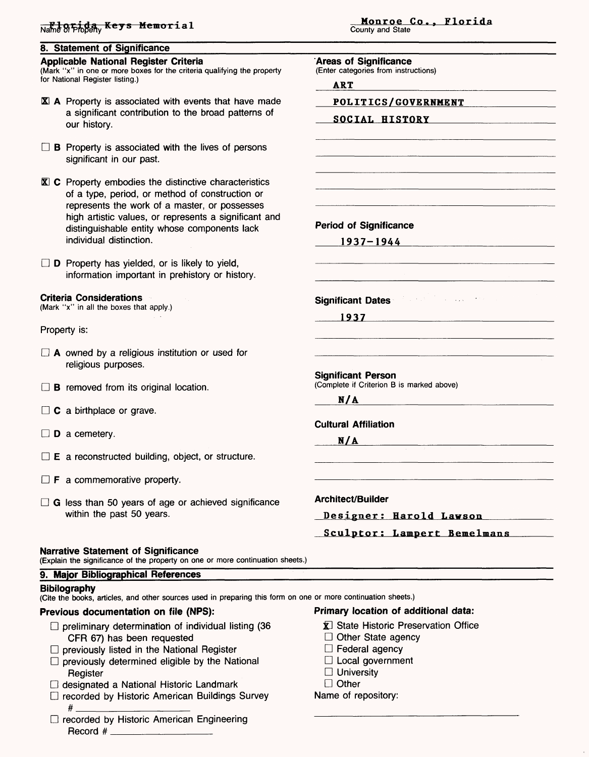**8. Statement of Significance**

#### **Applicable National Register Criteria**

(Mark "x" in one or more boxes for the criteria qualifying the property for National Register listing.)

- Kl A Property is associated with events that have made a significant contribution to the broad patterns of our history.
- $\Box$  **B** Property is associated with the lives of persons significant in our past.
- $\mathbf{\overline{X}}$  **C** Property embodies the distinctive characteristics of a type, period, or method of construction or represents the work of a master, or possesses high artistic values, or represents a significant and distinguishable entity whose components lack individual distinction.
- $\square$  **D** Property has yielded, or is likely to yield, information important in prehistory or history.

#### **Criteria Considerations**

(Mark "x" in all the boxes that apply.)

Property is:

- $\Box$  A owned by a religious institution or used for religious purposes.
- $\Box$  **B** removed from its original location.
- $\Box$  C a birthplace or grave.
- $\square$  **D** a cemetery.
- $\square$  **E** a reconstructed building, object, or structure.
- $\Box$  **F** a commemorative property.
- $\Box$  G less than 50 years of age or achieved significance within the past 50 years.

#### **Narrative Statement of Significance**

(Explain the significance of the property on one or more continuation sheets.)

### **9. Major Bibliographical References**

#### **Bibliography**

(Cite the books, articles, and other sources used in preparing this form on one or more continuation sheets.)

### **Previous documentation on file (NPS):**

- $\Box$  preliminary determination of individual listing (36 CFR 67) has been requested
- $\Box$  previously listed in the National Register
- $\square$  previously determined eligible by the National **Register**
- □ designated a National Historic Landmark
- □ recorded by Historic American Buildings Survey # \_\_\_\_\_\_\_\_\_\_\_\_\_\_
- $\Box$  recorded by Historic American Engineering Record  $#$

#### **Monroe Co., Florida**<br>
Name of Phopen<sub>y</sub> Keys Memorial<br>
County and State County and State

**Areas of Significance**

(Enter categories from instructions)

ART

**POLITICS/GOVERNMENT**

**SOCIAL HISTORY**

**Period of Significance 1937-1944**

**Significant Dates** 

**1937**

**Significant Person** (Complete if Criterion B is marked above)

**N/A \_\_\_\_\_\_\_\_\_\_\_\_\_\_**

### **Cultural Affiliation**

 $N/A$ 

**Architect/Builder** 

**Designer: Harold Lawson**

**Sculptor I Lampert Bemelmans**

### **Primary location of additional data:**

- **K** State Historic Preservation Office
- $\Box$  Other State agency
- $\Box$  Federal agency
- $\Box$  Local government
- $\Box$  University
- D Other

Name of repository: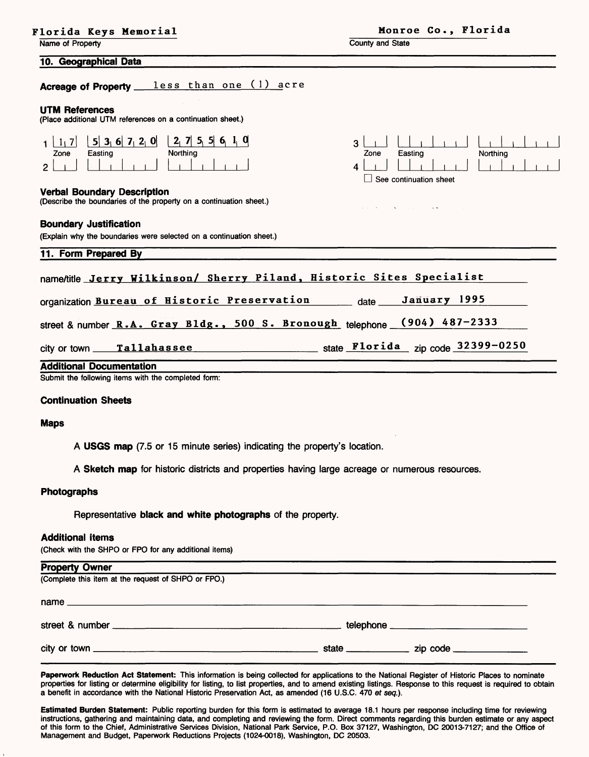|  |  |  |  |  | Florida Keys Memorial |  |  |  |
|--|--|--|--|--|-----------------------|--|--|--|
|--|--|--|--|--|-----------------------|--|--|--|

Name of Property

County and State

#### **10. Geographical Data**

Acreage of Property <u>less</u> than one (1) acre

#### **UTM References**

(Place additional UTM references on a continuation sheet.)

|      | $ 5 $ 3, 6 7, 2, 0 2 | a<br>71  |
|------|----------------------|----------|
| Zone | Easting              | Northing |
|      |                      |          |

#### **Verbal Boundary Description**

(Describe the boundaries of the property on a continuation sheet.)

#### **Boundary Justification**

(Explain why the boundaries were selected on a continuation sheet.)

**11. Form Prepared By**

| Zone | Easting                | Northing |  |  |
|------|------------------------|----------|--|--|
|      |                        |          |  |  |
|      | See continuation sheet |          |  |  |

 $\mathbf{L}$ 

 $\mathbf{r}$ 

3 \_\_\_ I I i

name/title Jerry Wilkinson/ Sherry Piland, Historic Sites Specialist organization Bureau of Historic Preservation date **January 1995**

street & number **R.A. Gray Bldg., 500 S. Bronough** telephone **(904) 487-2333**

city or town **Tallahassee**\_\_\_\_\_\_\_\_\_\_\_\_\_\_\_\_ state **Florida zjp code 32399-0250**

#### **Additional Documentation**

Submit the following items with the completed form:

#### **Continuation Sheets**

#### **Maps**

**A USGS map** (7.5 or 15 minute series) indicating the property's location.

**A Sketch map** for historic districts and properties having large acreage or numerous resources.

#### **Photographs**

Representative **black and white photographs** of the property.

#### **Additional items**

**Property Owner**

(Check with the SHPO or FPO for any additional items)

| <b>Property Owner</b>                               |  |
|-----------------------------------------------------|--|
| (Complete this item at the request of SHPO or FPO.) |  |
|                                                     |  |
|                                                     |  |
|                                                     |  |

**Paperwork Reduction Act Statement:** This information is being collected for applications to the National Register of Historic Places to nominate properties for listing or determine eligibility for listing, to list properties, and to amend existing listings. Response to this request is required to obtain a benefit in accordance with the National Historic Preservation Act, as amended (16 U.S.C. 470 et seq.).

**Estimated Burden Statement:** Public reporting burden for this form is estimated to average 18.1 hours per response including time for reviewing instructions, gathering and maintaining data, and completing and reviewing the form. Direct comments regarding this burden estimate or any aspect of this form to the Chief, Administrative Services Division, National Park Service, P.O. Box 37127, Washington, DC 20013-7127; and the Office of Management and Budget, Paperwork Reductions Projects (1024-0018), Washington, DC 20503.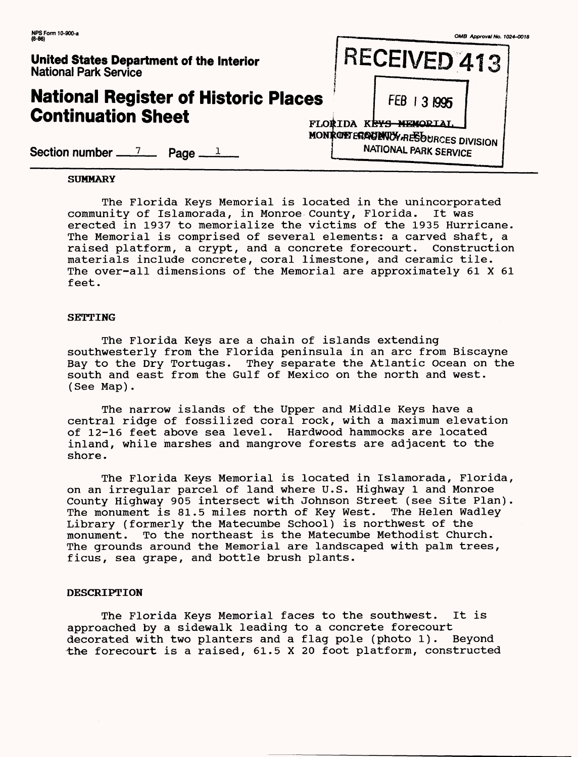| $(8-86)$<br>United States Department of the Interior<br><b>National Park Service</b> |                | RECEIVED 413                                                | OMB Approval No. 1024-0018 |
|--------------------------------------------------------------------------------------|----------------|-------------------------------------------------------------|----------------------------|
| <b>National Register of Historic Places</b><br><b>Continuation Sheet</b>             | <b>FLORTDA</b> | <b>FEB</b><br>31995<br>KRYS-MEMORIAI.                       |                            |
| Section number $\frac{7}{2}$ Page $\frac{1}{2}$                                      |                | MONROPTERAGENCY RESOURCES DIVISION<br>NATIONAL PARK SERVICE |                            |

### **SUMMARY**

The Florida Keys Memorial is located in the unincorporated<br>nitv of Islamorada, in Monroe Countv, Florida. It was community of Islamorada, in Monroe County, Florida. erected in 1937 to memorialize the victims of the 1935 Hurricane. The Memorial is comprised of several elements: a carved shaft, a raised platform, a crypt, and a concrete forecourt. Construction materials include concrete, coral limestone, and ceramic tile. The over-all dimensions of the Memorial are approximately 61 X 61 feet.

#### **SETTING**

The Florida Keys are a chain of islands extending southwesterly from the Florida peninsula in an arc from Biscayne Bay to the Dry Tortugas. They separate the Atlantic Ocean on the south and east from the Gulf of Mexico on the north and west. (See Map).

The narrow islands of the Upper and Middle Keys have a central ridge of fossilized coral rock, with a maximum elevation of 12-16 feet above sea level. Hardwood hammocks are located inland, while marshes and mangrove forests are adjacent to the shore.

The Florida Keys Memorial is located in Islamorada, Florida, on an irregular parcel of land where U.S. Highway 1 and Monroe County Highway 905 intersect with Johnson Street (see Site Plan). The monument is 81.5 miles north of Key West. The Helen Wadley Library (formerly the Matecumbe School) is northwest of the monument. To the northeast is the Matecumbe Methodist Church. The grounds around the Memorial are landscaped with palm trees, ficus, sea grape, and bottle brush plants.

#### **DESCRIPTION**

The Florida Keys Memorial faces to the southwest. It is approached by a sidewalk leading to a concrete forecourt decorated with two planters and a flag pole (photo 1). Beyond the forecourt is a raised, 61.5 X 20 foot platform, constructed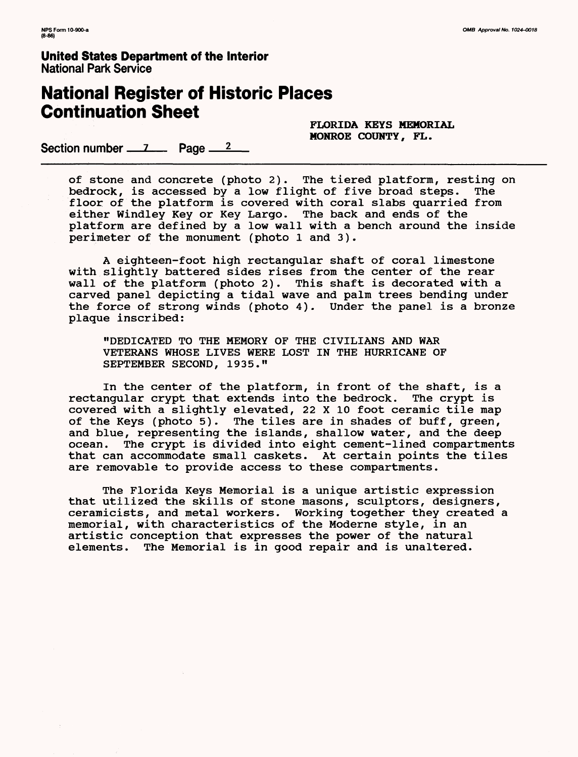# **National Register of Historic Places Continuation Sheet**

**FLORIDA KEYS MEMORIAL MONROE COUNTY, FL.**

Section number  $\frac{7}{2}$  Page  $\frac{2}{2}$ 

of stone and concrete (photo 2). The tiered platform, resting on bedrock, is accessed by a low flight of five broad steps. The floor of the platform is covered with coral slabs quarried from either Windley Key or Key Largo. The back and ends of the platform are defined by a low wall with a bench around the inside perimeter of the monument (photo 1 and 3).

A eighteen-foot high rectangular shaft of coral limestone with slightly battered sides rises from the center of the rear wall of the platform (photo 2). This shaft is decorated with a carved panel depicting a tidal wave and palm trees bending under the force of strong winds (photo 4). Under the panel is a bronze plaque inscribed:

"DEDICATED TO THE MEMORY OF THE CIVILIANS AND WAR VETERANS WHOSE LIVES WERE LOST IN THE HURRICANE OF SEPTEMBER SECOND, 1935."

In the center of the platform, in front of the shaft, is a rectangular crypt that extends into the bedrock. The crypt is covered with a slightly elevated, 22 X 10 foot ceramic tile map of the Keys (photo 5). The tiles are in shades of buff, green, and blue, representing the islands, shallow water, and the deep ocean. The crypt is divided into eight cement-lined compartments that can accommodate small caskets. At certain points the tiles are removable to provide access to these compartments.

The Florida Keys Memorial is a unique artistic expression that utilized the skills of stone masons, sculptors, designers, ceramicists, and metal workers. Working together they created a memorial, with characteristics of the Moderne style, in an artistic conception that expresses the power of the natural elements. The Memorial is in good repair and is unaltered.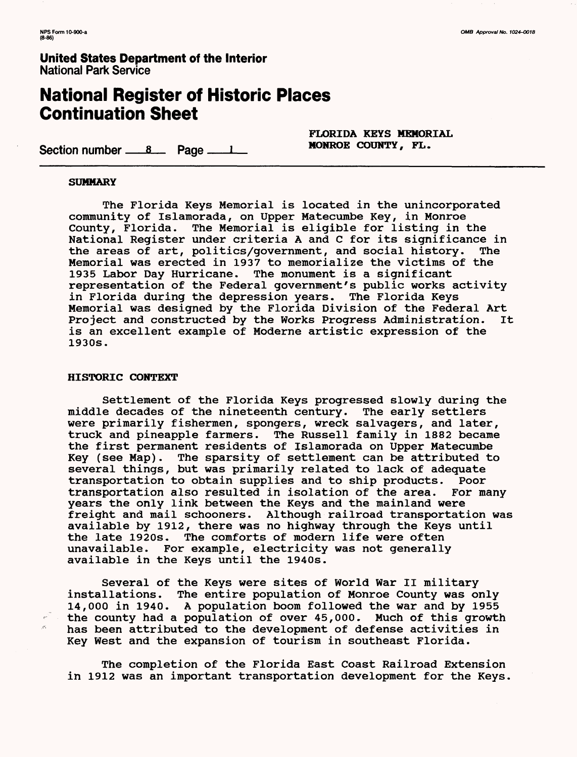# **National Register of Historic Places Continuation Sheet**

Section number  $\frac{8}{2}$  Page  $\frac{1}{2}$ 

FLORIDA KEYS MEMORIAL MONROE COUNTY, FL.

#### **SUMMARY**

The Florida Keys Memorial is located in the unincorporated community of Islamorada, on Upper Matecumbe Key, in Monroe County, Florida. The Memorial is eligible for listing in the National Register under criteria A and C for its significance in<br>the areas of art, politics/government, and social history. The the areas of art, politics/government, and social history. Memorial was erected in 1937 to memorialize the victims of the 1935 Labor Day Hurricane. The monument is a significant representation of the Federal government's public works activity in Florida during the depression years. The Florida Keys Memorial was designed by the Florida Division of the Federal Art Project and constructed by the Works Progress Administration. It is an excellent example of Moderne artistic expression of the 1930s.

#### **HISTORIC CONTEXT**

 $\sigma^2$ 

Settlement of the Florida Keys progressed slowly during the middle decades of the nineteenth century. The early settlers were primarily fishermen, spongers, wreck salvagers, and later, truck and pineapple farmers. The Russell family in 1882 became the first permanent residents of Islamorada on Upper Matecumbe Key (see Map). The sparsity of settlement can be attributed to several things, but was primarily related to lack of adequate transportation to obtain supplies and to ship products. Poor transportation also resulted in isolation of the area. For many years the only link between the Keys and the mainland were freight and mail schooners. Although railroad transportation was available by 1912, there was no highway through the Keys until the late 1920s. The comforts of modern life were often unavailable. For example, electricity was not generally available in the Keys until the 1940s.

Several of the Keys were sites of World War II military installations. The entire population of Monroe County was only 14,000 in 1940. A population boom followed the war and by 1955 the county had a population of over 45,000. Much of this growth has been attributed to the development of defense activities in Key West and the expansion of tourism in southeast Florida.

The completion of the Florida East Coast Railroad Extension in 1912 was an important transportation development for the Keys.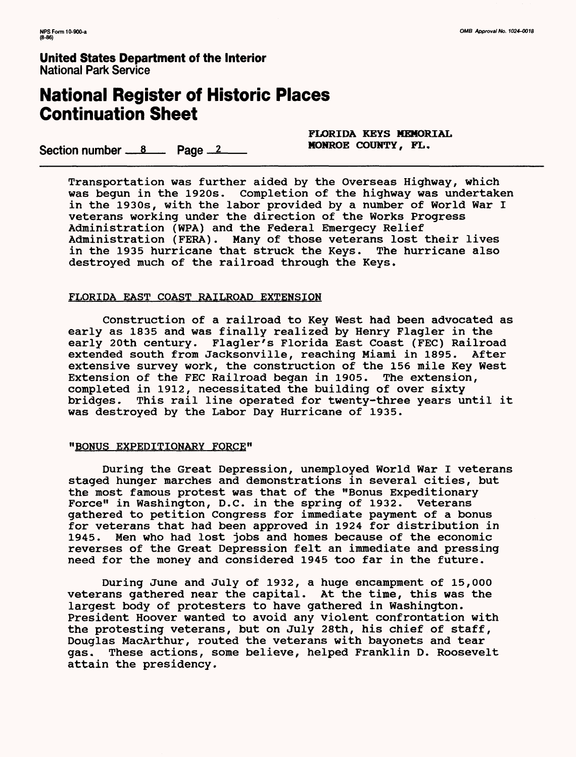# **National Register of Historic Places Continuation Sheet**

Section number  $8 \times 12$ 

**FLORIDA KEYS MEMORIAL**

Transportation was further aided by the Overseas Highway, which was begun in the 1920s. Completion of the highway was undertaken in the 1930s, with the labor provided by a number of World War I veterans working under the direction of the Works Progress Administration (WPA) and the Federal Emergecy Relief Administration (FERA). Many of those veterans lost their lives in the 1935 hurricane that struck the Keys. The hurricane also destroyed much of the railroad through the Keys.

### FLORIDA EAST COAST RAILROAD EXTENSION

Construction of a railroad to Key West had been advocated as early as 1835 and was finally realized by Henry Flagler in the early 20th century. Flagler's Florida East Coast (FEC) Railroad extended south from Jacksonville, reaching Miami in 1895. After extensive survey work, the construction of the 156 mile Key West Extension of the FEC Railroad began in 1905. The extension, completed in 1912, necessitated the building of over sixty bridges. This rail line operated for twenty-three years until it was destroyed by the Labor Day Hurricane of 1935.

### "BONUS EXPEDITIONARY FORCE"

During the Great Depression, unemployed World War I veterans staged hunger marches and demonstrations in several cities, but the most famous protest was that of the "Bonus Expeditionary Force" in Washington, D.C. in the spring of 1932. Veterans gathered to petition Congress for immediate payment of a bonus for veterans that had been approved in 1924 for distribution in 1945. Men who had lost jobs and homes because of the economic reverses of the Great Depression felt an immediate and pressing need for the money and considered 1945 too far in the future.

During June and July of 1932, a huge encampment of 15,000 veterans gathered near the capital. At the time, this was the largest body of protesters to have gathered in Washington. President Hoover wanted to avoid any violent confrontation with the protesting veterans, but on July 28th, his chief of staff, Douglas MacArthur, routed the veterans with bayonets and tear gas. These actions, some believe, helped Franklin D. Roosevelt attain the presidency.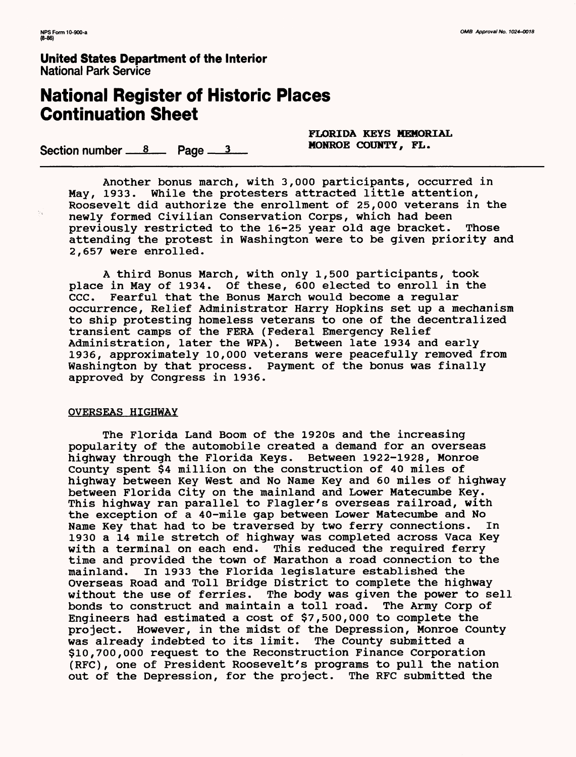# **National Register of Historic Places Continuation Sheet**

Section number  $\frac{8}{2}$  Page  $\frac{3}{2}$ 

**FLORIDA KEYS MEMORIAL**

Another bonus march, with 3,000 participants, occurred in May, 1933. While the protesters attracted little attention, Roosevelt did authorize the enrollment of 25,000 veterans in the newly formed Civilian Conservation Corps, which had been previously restricted to the 16-25 year old age bracket. Those attending the protest in Washington were to be given priority and 2,657 were enrolled.

A third Bonus March, with only 1,500 participants, took place in May of 1934. Of these, 600 elected to enroll in the CCC. Fearful that the Bonus March would become a regular occurrence, Relief Administrator Harry Hopkins set up a mechanism to ship protesting homeless veterans to one of the decentralized transient camps of the FERA (Federal Emergency Relief Administration, later the WPA). Between late 1934 and early 1936, approximately 10,000 veterans were peacefully removed from Washington by that process. Payment of the bonus was finally approved by Congress in 1936.

### OVERSEAS HIGHWAY

The Florida Land Boom of the 1920s and the increasing popularity of the automobile created a demand for an overseas highway through the Florida Keys. Between 1922-1928, Monroe County spent \$4 million on the construction of 40 miles of highway between Key West and No Name Key and 60 miles of highway between Florida City on the mainland and Lower Matecumbe Key. This highway ran parallel to Flagler's overseas railroad, with the exception of a 40-mile gap between Lower Matecumbe and No Name Key that had to be traversed by two ferry connections. In 1930 a 14 mile stretch of highway was completed across Vaca Key with a terminal on each end. This reduced the required ferry time and provided the town of Marathon a road connection to the mainland. In 1933 the Florida legislature established the In 1933 the Florida legislature established the Overseas Road and Toll Bridge District to complete the highway without the use of ferries. The body was given the power to sell bonds to construct and maintain a toll road. The Army Corp of Engineers had estimated a cost of \$7,500,000 to complete the project. However, in the midst of the Depression, Monroe County was already indebted to its limit. The County submitted a was already indebted to its limit. \$10,700,000 request to the Reconstruction Finance Corporation (RFC), one of President Roosevelt's programs to pull the nation out of the Depression, for the project. The RFC submitted the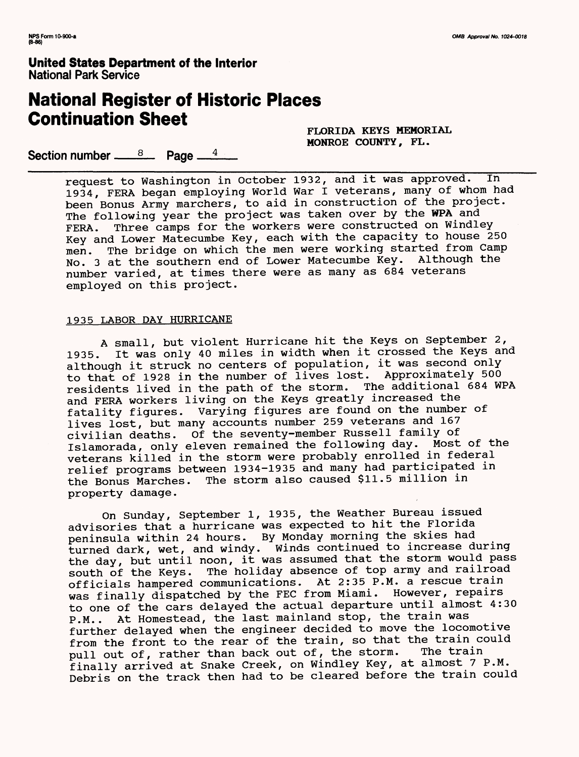# **National Register of Historic Places Continuation Sheet**

**FLORIDA KEYS MEMORIAL MONROE COUNTY, FL.**

Section number <u>——<sup>8</sup>—</u> Page —<sup>4</sup>——

request to Washington in October 1932, and it was approved. In 1934, FERA began employing World War I veterans, many of whom had been Bonus Army marchers, to aid in construction of the project. The following year the project was taken over by the WPA and FERA. Three camps for the workers were constructed on Windley Key and Lower Matecumbe Key, each with the capacity to house 250 men. The bridge on which the men were working started from Camp No. 3 at the southern end of Lower Matecumbe Key. Although the number varied, at times there were as many as 684 veterans employed on this project.

### 1935 LABOR DAY HURRICANE

A small, but violent Hurricane hit the Keys on September 2, 1935. It was only 40 miles in width when it crossed the Keys and although it struck no centers of population, it was second only to that of 1928 in the number of lives lost. Approximately 500 residents lived in the path of the storm. The additional 684 WPA and FERA workers living on the Keys greatly increased the fatality figures. Varying figures are found on the number of lives lost, but many accounts number 259 veterans and 167 civilian deaths. Of the seventy-member Russell family of Islamorada, only eleven remained the following day. Most of the veterans killed in the storm were probably enrolled in federal relief programs between 1934-1935 and many had participated in the Bonus Marches. The storm also caused \$11.5 million in property damage.

On Sunday, September 1, 1935, the Weather Bureau issued advisories that a hurricane was expected to hit the Florida peninsula within 24 hours. By Monday morning the skies had turned dark, wet, and windy. Winds continued to increase during the day, but until noon, it was assumed that the storm would pass south of the Keys. The holiday absence of top army and railroad officials hampered communications. At 2:35 P.M. a rescue train was finally dispatched by the FEC from Miami. However, repairs to one of the cars delayed the actual departure until almost 4:30 P.M.. At Homestead, the last mainland stop, the train was further delayed when the engineer decided to move the locomotive from the front to the rear of the train, so that the train could pull out of, rather than back out of, the storm. The train finally arrived at Snake Creek, on Windley Key, at almost 7 P.M. Debris on the track then had to be cleared before the train could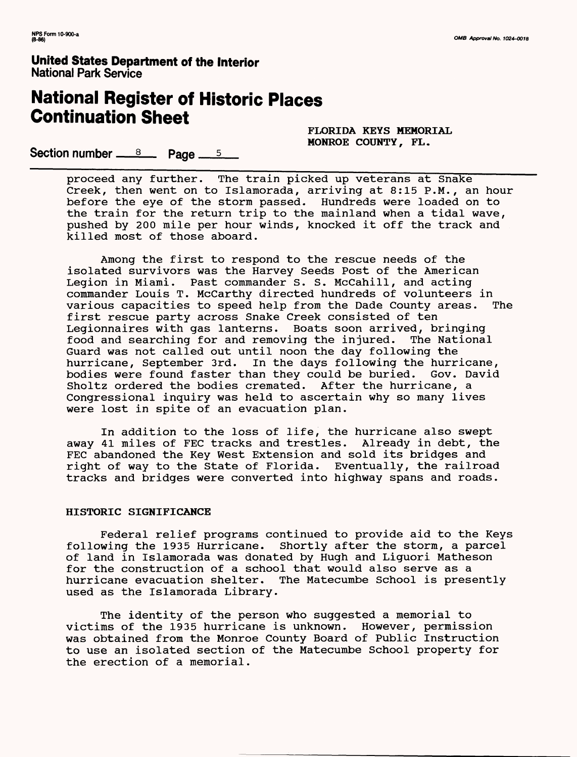# **National Register of Historic Places Continuation Sheet**

**FLORIDA KEYS MEMORIAL MONROE COUNTY, FL.**

**Section number**  $\frac{8}{2}$  **Page**  $\frac{5}{2}$ 

proceed any further. The train picked up veterans at Snake Creek, then went on to Islamorada, arriving at 8:15 P.M., an hour before the eye of the storm passed. Hundreds were loaded on to the train for the return trip to the mainland when a tidal wave, pushed by 200 mile per hour winds, knocked it off the track and killed most of those aboard.

Among the first to respond to the rescue needs of the isolated survivors was the Harvey Seeds Post of the American Legion in Miami. Past commander S. S. McCahill, and acting commander Louis T. McCarthy directed hundreds of volunteers in various capacities to speed help from the Dade County areas. The first rescue party across Snake Creek consisted of ten Legionnaires with gas lanterns. Boats soon arrived, bringing<br>food and searching for and removing the injured. The National food and searching for and removing the injured. Guard was not called out until noon the day following the hurricane, September 3rd. In the days following the hurricane, bodies were found faster than they could be buried. Gov. David Sholtz ordered the bodies cremated. After the hurricane, a Congressional inquiry was held to ascertain why so many lives were lost in spite of an evacuation plan.

In addition to the loss of life, the hurricane also swept away 41 miles of FEC tracks and trestles. Already in debt, the FEC abandoned the Key West Extension and sold its bridges and right of way to the State of Florida. Eventually, the railroad tracks and bridges were converted into highway spans and roads.

### **HISTORIC SIGNIFICANCE**

Federal relief programs continued to provide aid to the Keys following the 1935 Hurricane. Shortly after the storm, a parcel Shortly after the storm, a parcel of land in Islamorada was donated by Hugh and Liguori Matheson for the construction of a school that would also serve as a hurricane evacuation shelter. The Matecumbe School is prese The Matecumbe School is presently used as the Islamorada Library.

The identity of the person who suggested a memorial to victims of the 1935 hurricane is unknown. However, permission was obtained from the Monroe County Board of Public Instruction to use an isolated section of the Matecumbe School property for the erection of a memorial.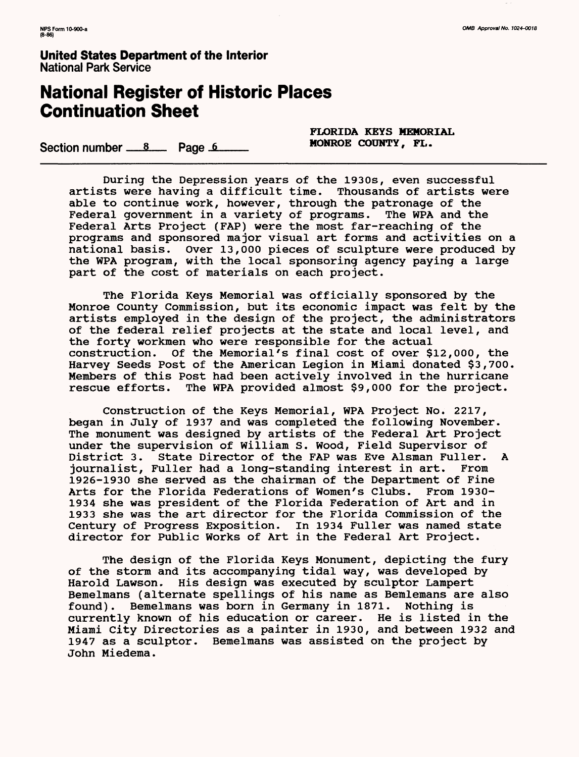# **National Register of Historic Places Continuation Sheet**

Section number  $\frac{8}{2}$  Page. 6

**FLORIDA KEYS MEMORIAL**

During the Depression years of the 1930s, even successful artists were having a difficult time. Thousands of artists were able to continue work, however, through the patronage of the Federal government in a variety of programs. The WPA and the Federal Arts Project (FAP) were the most far-reaching of the programs and sponsored major visual art forms and activities on a national basis. Over 13,000 pieces of sculpture were produced by the WPA program, with the local sponsoring agency paying a large part of the cost of materials on each project.

The Florida Keys Memorial was officially sponsored by the Monroe County Commission, but its economic impact was felt by the artists employed in the design of the project, the administrators of the federal relief projects at the state and local level, and the forty workmen who were responsible for the actual construction. Of the Memorial's final cost of over \$12,000, the Harvey Seeds Post of the American Legion in Miami donated \$3,700. Members of this Post had been actively involved in the hurricane The WPA provided almost \$9,000 for the project.

Construction of the Keys Memorial, WPA Project No. 2217, began in July of 1937 and was completed the following November. The monument was designed by artists of the Federal Art Project under the supervision of William S. Wood, Field Supervisor of District 3. State Director of the FAP was Eve Alsman Fuller. A journalist, Fuller had a long-standing interest in art. From 1926-1930 she served as the chairman of the Department of Fine Arts for the Florida Federations of Women's Clubs. From 1930- 1934 she was president of the Florida Federation of Art and in 1933 she was the art director for the Florida Commission of the Century of Progress Exposition. In 1934 Fuller was named state director for Public Works of Art in the Federal Art Project.

The design of the Florida Keys Monument, depicting the fury of the storm and its accompanying tidal way, was developed by Harold Lawson. His design was executed by sculptor Lampert Bemelmans (alternate spellings of his name as Bemlemans are also found). Bemelmans was born in Germany in 1871. Nothing is currently known of his education or career. He is listed in the Miami City Directories as a painter in 1930, and between 1932 and 1947 as a sculptor. Bemelmans was assisted on the project by John Miedema.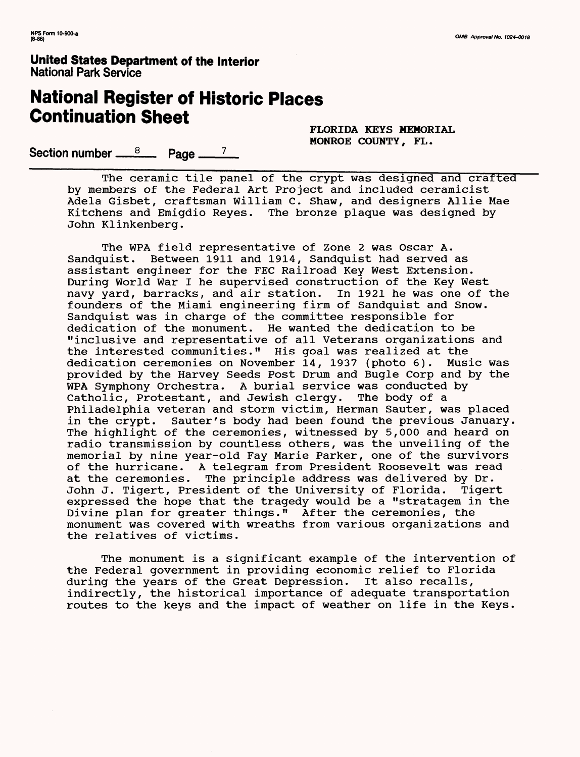# **National Register of Historic Places Continuation Sheet**

**FLORIDA KEYS MEMORIAL MONROE COUNTY, FL.**

Section number <u><sup>8</sup></u> Page <sup>7</sup>

The ceramic tile panel of the crypt was designed and crafted by members of the Federal Art Project and included ceramicist Adela Gisbet, craftsman William C. Shaw, and designers Allie Mae Kitchens and Emigdio Reyes. The bronze plaque was designed by John Klinkenberg.

The WPA field representative of Zone 2 was Oscar A. Sandquist. Between 1911 and 1914, Sandquist had served as assistant engineer for the FEC Railroad Key West Extension. During World War I he supervised construction of the Key West navy yard, barracks, and air station. In 1921 he was one of the founders of the Miami engineering firm of Sandquist and Snow. Sandquist was in charge of the committee responsible for dedication of the monument. He wanted the dedication to be "inclusive and representative of all Veterans organizations and the interested communities." His goal was realized at the dedication ceremonies on November 14, 1937 (photo 6). Music was provided by the Harvey Seeds Post Drum and Bugle Corp and by the WPA Symphony Orchestra. A burial service was conducted by Catholic, Protestant, and Jewish clergy. The body of a Catholic, Protestant, and Jewish clergy. Philadelphia veteran and storm victim, Herman Sauter, was placed in the crypt. Sauter's body had been found the previous January. The highlight of the ceremonies, witnessed by 5,000 and heard on radio transmission by countless others, was the unveiling of the memorial by nine year-old Fay Marie Parker, one of the survivors of the hurricane. A telegram from President Roosevelt was read at the ceremonies. The principle address was delivered by Dr.<br>John J. Tigert, President of the University of Florida. Tigert John J. Tigert, President of the University of Florida. expressed the hope that the tragedy would be a "stratagem in the Divine plan for greater things." After the ceremonies, the monument was covered with wreaths from various organizations and the relatives of victims.

The monument is a significant example of the intervention of the Federal government in providing economic relief to Florida during the years of the Great Depression. It also recalls, indirectly, the historical importance of adequate transportation routes to the keys and the impact of weather on life in the Keys.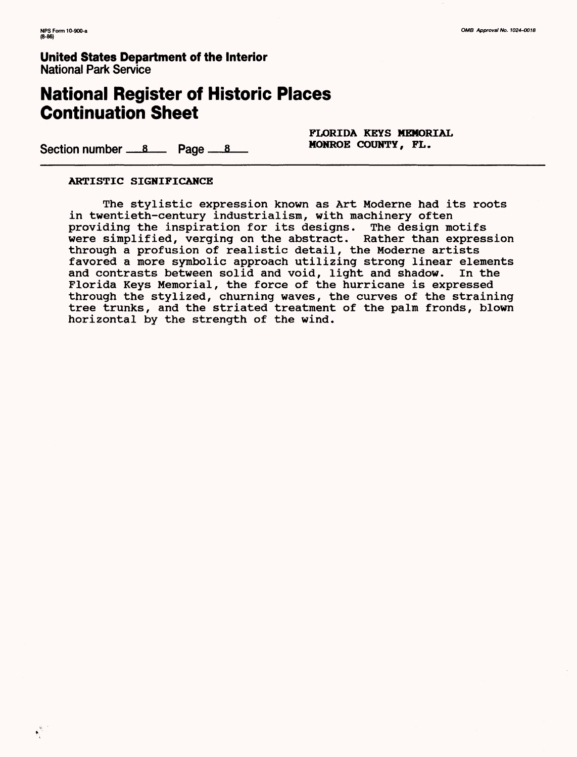# **National Register of Historic Places Continuation Sheet**

**FLORIDA KEYS MEMORIAL**

Section number  $8 \times 10^{-8}$  Page  $8 \times 10^{-8}$  MONROE COUNTY, FL.

### **ARTISTIC SIGNIFICANCE**

The stylistic expression known as Art Moderne had its roots in twentieth-century industrialism, with machinery often providing the inspiration for its designs. The design motifs were simplified, verging on the abstract. Rather than expression through a profusion of realistic detail, the Moderne artists favored a more symbolic approach utilizing strong linear elements and contrasts between solid and void, light and shadow. In the Florida Keys Memorial, the force of the hurricane is expressed through the stylized, churning waves, the curves of the straining tree trunks, and the striated treatment of the palm fronds, blown horizontal by the strength of the wind.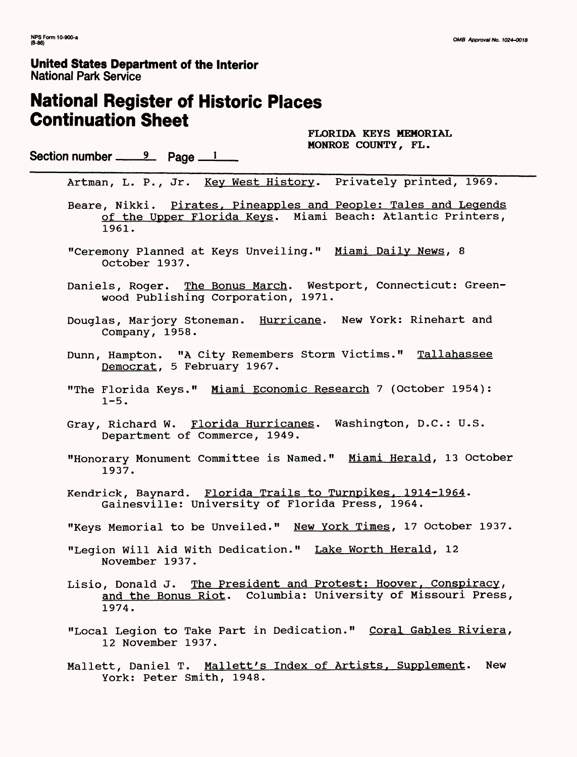# **National Register of Historic Places Continuation Sheet**

**FLORIDA KEYS MEMORIAL MONROE COUNTY, FL.**

Section number  $\frac{9}{2}$  Page  $\frac{1}{2}$ 

Artman, L. P., Jr. Key West History. Privately printed, 1969.

Beare, Nikki. Pirates, Pineapples and People: Tales and Legends of the Upper Florida Keys. Miami Beach: Atlantic Printers, 1961.

- "Ceremony Planned at Keys Unveiling." Miami Daily News, 8 October 1937.
- Daniels, Roger. The Bonus March. Westport, Connecticut: Greenwood Publishing Corporation, 1971.
- Douglas, Marjory Stoneman. Hurricane. New York: Rinehart and Company, 1958.
- Dunn, Hampton. "A City Remembers Storm Victims." Tallahassee Democrat, 5 February 1967.
- "The Florida Keys." Miami Economic Research 7 (October 1954):  $1 - 5$ .
- Gray, Richard W. Florida Hurricanes. Washington, D.C.: U.S. Department of Commerce, 1949.
- "Honorary Monument Committee is Named." Miami Herald, 13 October 1937.
- Kendrick, Baynard. Florida Trails to Turnpikes, 1914-1964. Gainesville: University of Florida Press, 1964.
- "Keys Memorial to be Unveiled." New York Times, 17 October 1937.
- "Legion Will Aid With Dedication." Lake Worth Herald, 12 November 1937.
- Lisio, Donald J. The President and Protest: Hoover, Conspiracy, and the Bonus Riot. Columbia: University of Missouri Press, 1974.
- "Local Legion to Take Part in Dedication." Coral Gables Riviera, 12 November 1937.
- Mallett, Daniel T. Mallett's Index of Artists, Supplement. New York: Peter Smith, 1948.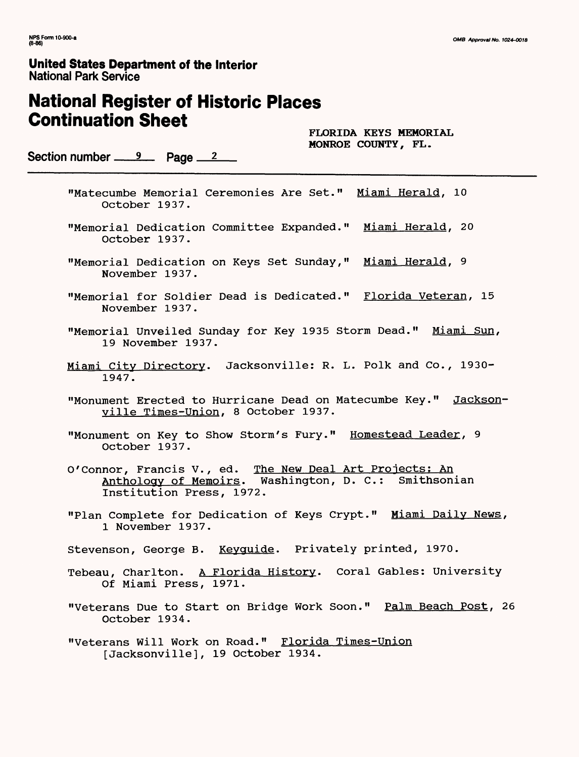# **National Register of Historic Places Continuation Sheet**

**FLORIDA KEYS MEMORIAL MONROE COUNTY, FL.**

Section number <u>9</u> Page 2

- "Matecumbe Memorial Ceremonies Are Set." Miami Herald, 10 October 1937.
- "Memorial Dedication Committee Expanded." Miami Herald, 20 October 1937.
- "Memorial Dedication on Keys Set Sunday," Miami Herald, 9 November 1937.
- "Memorial for Soldier Dead is Dedicated." Florida Veteran, 15 November 1937.
- "Memorial Unveiled Sunday for Key 1935 Storm Dead." Miami Sun, 19 November 1937.
- Miami City Directory. Jacksonville: R. L. Polk and Co., 1930-1947.
- "Monument Erected to Hurricane Dead on Matecumbe Key." Jacksonville Times-Union, 8 October 1937.
- "Monument on Key to Show Storm's Fury." Homestead Leader, 9 October 1937.
- O'Connor, Francis V., ed. The New Deal Art Projects; An Anthology of Memoirs. Washington, D. C.: Smithsonian Institution Press, 1972.
- "Plan Complete for Dedication of Keys Crypt." Miami Daily News, 1 November 1937.
- Stevenson, George B. Keyguide. Privately printed, 1970.
- Tebeau, Charlton. A Florida History. Coral Gables: University Of Miami Press, 1971.
- "Veterans Due to Start on Bridge Work Soon." Palm Beach Post, 26 October 1934.
- "Veterans Will Work on Road." Florida Times-Union [Jacksonville], 19 October 1934.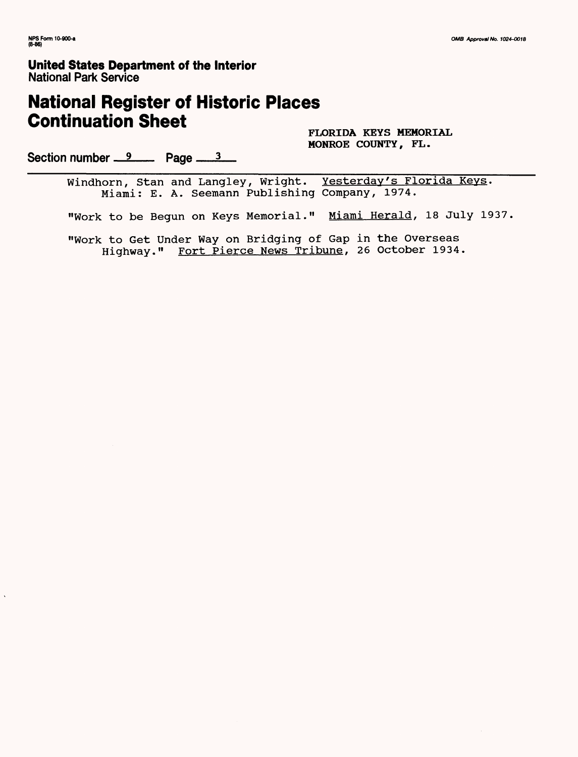# **National Register of Historic Places Continuation Sheet**

**FLORIDA KEYS MEMORIAL MONROE COUNTY, FL.**

Section number <u>9</u> Page 3

Windhorn, Stan and Langley, Wright. Yesterday's Florida Keys. Miami: E. A. Seemann Publishing Company, 1974.

"Work to be Begun on Keys Memorial." Miami Herald, 18 July 1937.

"Work to Get Under Way on Bridging of Gap in the Overseas Highway." Fort Pierce News Tribune, 26 October 1934.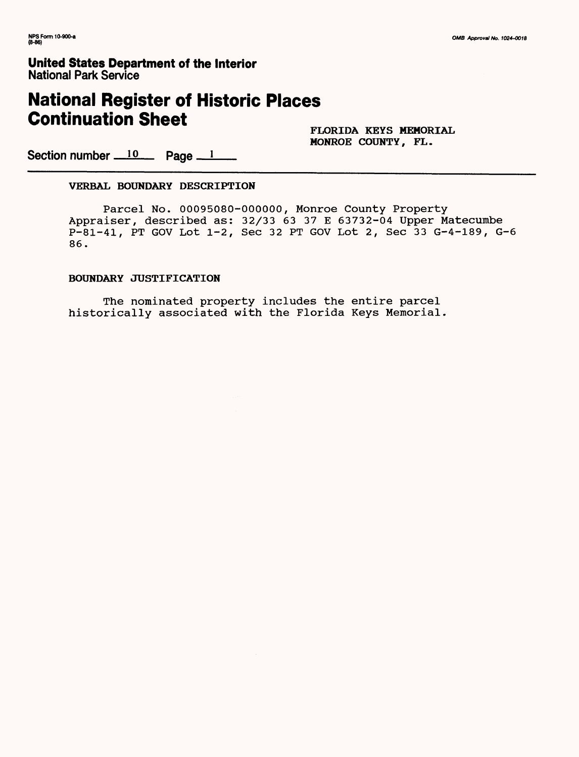# **National Register of Historic Places Continuation Sheet**

**FLORIDA KEYS MEMORIAL MONROE COUNTY, FL.**

Section number  $10$  Page  $1$ 

### **VERBAL BOUNDARY DESCRIPTION**

Parcel No. 00095080-000000, Monroe County Property Appraiser, described as: 32/33 63 37 E 63732-04 Upper Matecumbe P-81-41, PT GOV Lot 1-2, Sec 32 PT GOV Lot 2, Sec 33 G-4-189, G-6 86.

### **BOUNDARY JUSTIFICATION**

The nominated property includes the entire parcel historically associated with the Florida Keys Memorial.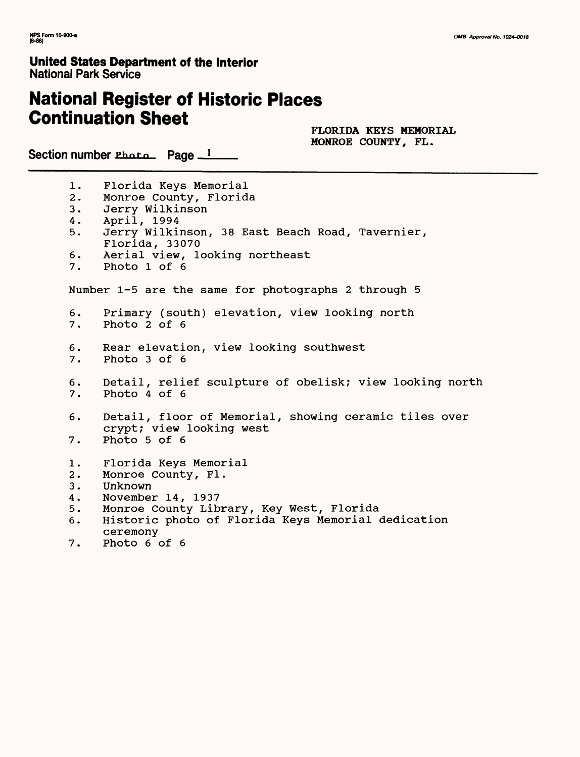# **National Register of Historic Places Continuation Sheet**

**FLORIDA KEYS MEMORIAL MONROE COUNTY, FL.**

Section number  $Pbata$  Page  $1$ 

1. Florida Keys Memorial 2. Monroe County, Florida 3. Jerry Wilkinson 4. April, 1994 5. Jerry Wilkinson, 38 East Beach Road, Tavernier, Florida, 33070 6. Aerial view, looking northeast<br>7. Photo 1 of 6 Photo 1 of 6 Number 1-5 are the same for photographs 2 through 5 6. Primary (south) elevation, view looking north Photo 2 of 6 6. Rear elevation, view looking southwest 7. Photo 3 of 6 6. Detail, relief sculpture of obelisk; view looking north 7. Photo 4 of 6 6. Detail, floor of Memorial, showing ceramic tiles over crypt; view looking west 7. Photo 5 of 6 1. Florida Keys Memorial 2. Monroe County, Fl. 3. Unknown 4. November 14, 1937<br>5. Monroe County Lib Monroe County Library, Key West, Florida 6. Historic photo of Florida Keys Memorial dedication ceremony 7. Photo 6 of 6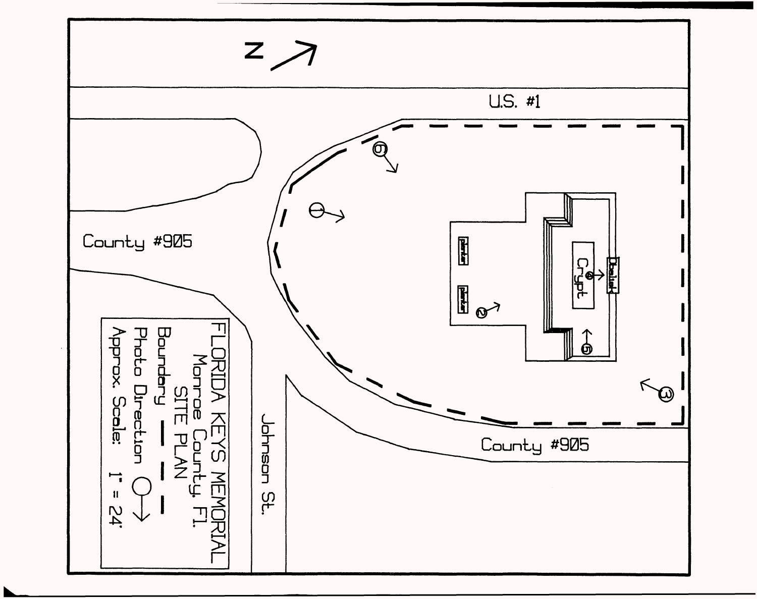